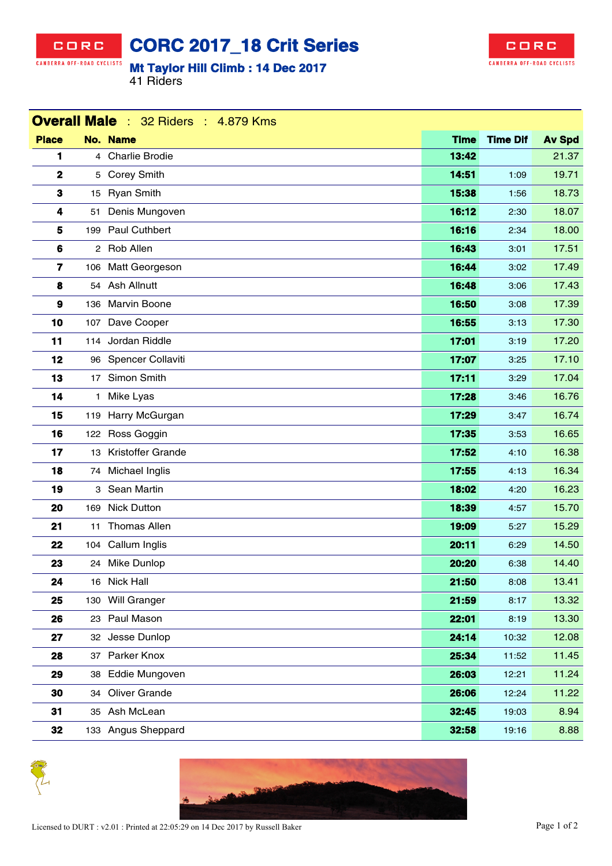## CORC CANBERRA OFF-ROAD CYCLISTS

**CORC 2017\_18 Crit Series**

## **Mt Taylor Hill Climb : 14 Dec 2017**

41 Riders



| <b>Overall Male</b> : 32 Riders : 4.879 Kms |              |                      |             |                 |               |  |  |
|---------------------------------------------|--------------|----------------------|-------------|-----------------|---------------|--|--|
| <b>Place</b>                                |              | No. Name             | <b>Time</b> | <b>Time Dif</b> | <b>Av Spd</b> |  |  |
| 1                                           |              | 4 Charlie Brodie     | 13:42       |                 | 21.37         |  |  |
| 2                                           |              | 5 Corey Smith        | 14:51       | 1:09            | 19.71         |  |  |
| 3                                           |              | 15 Ryan Smith        | 15:38       | 1:56            | 18.73         |  |  |
| 4                                           |              | 51 Denis Mungoven    | 16:12       | 2:30            | 18.07         |  |  |
| 5                                           |              | 199 Paul Cuthbert    | 16:16       | 2:34            | 18.00         |  |  |
| 6                                           |              | 2 Rob Allen          | 16:43       | 3:01            | 17.51         |  |  |
| 7                                           |              | 106 Matt Georgeson   | 16:44       | 3:02            | 17.49         |  |  |
| 8                                           |              | 54 Ash Allnutt       | 16:48       | 3:06            | 17.43         |  |  |
| 9                                           |              | 136 Marvin Boone     | 16:50       | 3:08            | 17.39         |  |  |
| 10                                          |              | 107 Dave Cooper      | 16:55       | 3:13            | 17.30         |  |  |
| 11                                          |              | 114 Jordan Riddle    | 17:01       | 3:19            | 17.20         |  |  |
| 12                                          |              | 96 Spencer Collaviti | 17:07       | 3:25            | 17.10         |  |  |
| 13                                          |              | 17 Simon Smith       | 17:11       | 3:29            | 17.04         |  |  |
| 14                                          | $\mathbf{1}$ | Mike Lyas            | 17:28       | 3:46            | 16.76         |  |  |
| 15                                          |              | 119 Harry McGurgan   | 17:29       | 3:47            | 16.74         |  |  |
| 16                                          |              | 122 Ross Goggin      | 17:35       | 3:53            | 16.65         |  |  |
| 17                                          |              | 13 Kristoffer Grande | 17:52       | 4:10            | 16.38         |  |  |
| 18                                          |              | 74 Michael Inglis    | 17:55       | 4:13            | 16.34         |  |  |
| 19                                          |              | 3 Sean Martin        | 18:02       | 4:20            | 16.23         |  |  |
| 20                                          |              | 169 Nick Dutton      | 18:39       | 4:57            | 15.70         |  |  |
| 21                                          | 11           | <b>Thomas Allen</b>  | 19:09       | 5:27            | 15.29         |  |  |
| 22                                          |              | 104 Callum Inglis    | 20:11       | 6:29            | 14.50         |  |  |
| 23                                          |              | 24 Mike Dunlop       | 20:20       | 6:38            | 14.40         |  |  |
| 24                                          |              | 16 Nick Hall         | 21:50       | 8:08            | 13.41         |  |  |
| 25                                          |              | 130 Will Granger     | 21:59       | 8:17            | 13.32         |  |  |
| 26                                          |              | 23 Paul Mason        | 22:01       | 8:19            | 13.30         |  |  |
| 27                                          |              | 32 Jesse Dunlop      | 24:14       | 10:32           | 12.08         |  |  |
| 28                                          |              | 37 Parker Knox       | 25:34       | 11:52           | 11.45         |  |  |
| 29                                          |              | 38 Eddie Mungoven    | 26:03       | 12:21           | 11.24         |  |  |
| 30                                          |              | 34 Oliver Grande     | 26:06       | 12:24           | 11.22         |  |  |
| 31                                          |              | 35 Ash McLean        | 32:45       | 19:03           | 8.94          |  |  |
| 32                                          |              | 133 Angus Sheppard   | 32:58       | 19:16           | 8.88          |  |  |